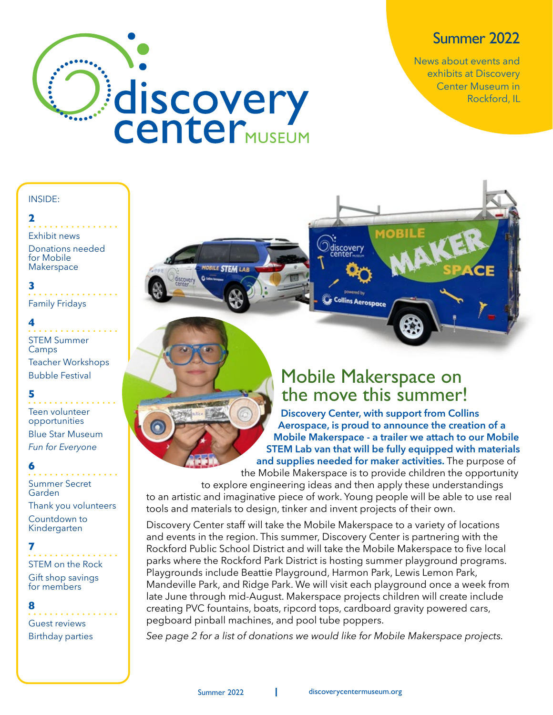### Summer 2022

News about events and exhibits at Discovery Center Museum in Rockford, IL



#### INSIDE:

#### **2**

Exhibit news

Donations needed for Mobile Makerspace

**3** Family Fridays

#### **4**

STEM Summer **Camps** 

Teacher Workshops Bubble Festival

#### **5**

Teen volunteer opportunities Blue Star Museum *Fun for Everyone*

#### **6**

Summer Secret Garden

Thank you volunteers Countdown to Kindergarten

#### **7**

STEM on the Rock Gift shop savings for members

#### **8**

Guest reviews Birthday parties

### Mobile Makerspace on the move this summer!

**Discovery Center, with support from Collins Aerospace, is proud to announce the creation of a Mobile Makerspace - a trailer we attach to our Mobile STEM Lab van that will be fully equipped with materials and supplies needed for maker activities.** The purpose of

the Mobile Makerspace is to provide children the opportunity to explore engineering ideas and then apply these understandings to an artistic and imaginative piece of work. Young people will be able to use real tools and materials to design, tinker and invent projects of their own.

Odiscovery

**Collins Aerospace** 

Discovery Center staff will take the Mobile Makerspace to a variety of locations and events in the region. This summer, Discovery Center is partnering with the Rockford Public School District and will take the Mobile Makerspace to five local parks where the Rockford Park District is hosting summer playground programs. Playgrounds include Beattie Playground, Harmon Park, Lewis Lemon Park, Mandeville Park, and Ridge Park. We will visit each playground once a week from late June through mid-August. Makerspace projects children will create include creating PVC fountains, boats, ripcord tops, cardboard gravity powered cars, pegboard pinball machines, and pool tube poppers.

*See page 2 for a list of donations we would like for Mobile Makerspace projects.*

**STEM LAP**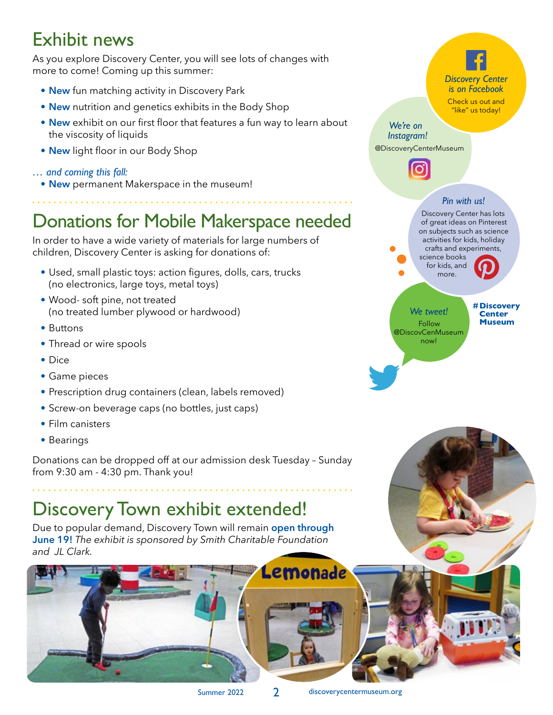### Exhibit news

As you explore Discovery Center, you will see lots of changes with more to come! Coming up this summer:

- **• New** fun matching activity in Discovery Park
- **• New** nutrition and genetics exhibits in the Body Shop
- **• New** exhibit on our first floor that features a fun way to learn about the viscosity of liquids
- **• New** light floor in our Body Shop

#### *… and coming this fall:*

**• New** permanent Makerspace in the museum!

## Donations for Mobile Makerspace needed

In order to have a wide variety of materials for large numbers of children, Discovery Center is asking for donations of:

- **•** Used, small plastic toys: action figures, dolls, cars, trucks (no electronics, large toys, metal toys)
- **•** Wood- soft pine, not treated (no treated lumber plywood or hardwood)
- **•** Buttons
- **•** Thread or wire spools
- **•** Dice
- **•** Game pieces
- **•** Prescription drug containers (clean, labels removed)
- **•** Screw-on beverage caps (no bottles, just caps)
- **•** Film canisters
- **•** Bearings

Donations can be dropped off at our admission desk Tuesday – Sunday from 9:30 am - 4:30 pm. Thank you!

## Discovery Town exhibit extended!

Due to popular demand, Discovery Town will remain **open through June 19!** *The exhibit is sponsored by Smith Charitable Foundation and JL Clark.*





Lemonade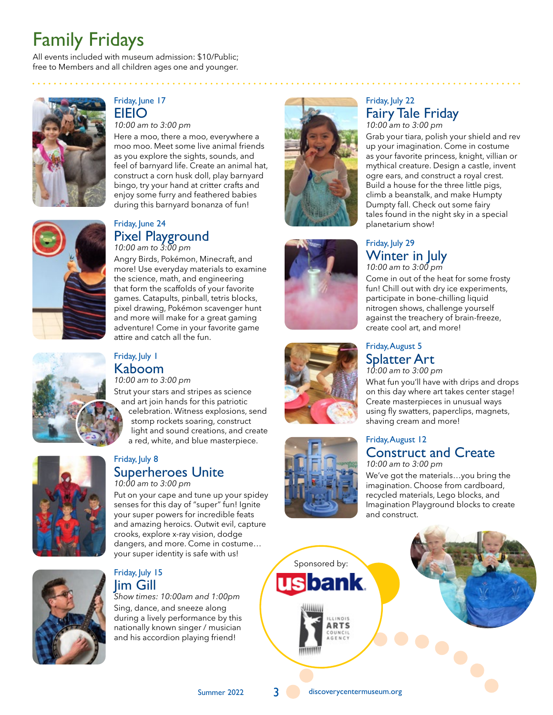## Family Fridays

All events included with museum admission: \$10/Public; free to Members and all children ages one and younger.



#### Friday, June 17 EIEIO

*10:00 am to 3:00 pm*

Here a moo, there a moo, everywhere a moo moo. Meet some live animal friends as you explore the sights, sounds, and feel of barnyard life. Create an animal hat, construct a corn husk doll, play barnyard bingo, try your hand at critter crafts and enjoy some furry and feathered babies during this barnyard bonanza of fun!



#### Friday, June 24 Pixel Playground *10:00 am to 3:00 pm*

Angry Birds, Pokémon, Minecraft, and more! Use everyday materials to examine the science, math, and engineering that form the scaffolds of your favorite games. Catapults, pinball, tetris blocks, pixel drawing, Pokémon scavenger hunt and more will make for a great gaming adventure! Come in your favorite game attire and catch all the fun.



#### Friday, July 1 Kaboom *10:00 am to 3:00 pm*

Strut your stars and stripes as science and art join hands for this patriotic celebration. Witness explosions, send stomp rockets soaring, construct light and sound creations, and create a red, white, and blue masterpiece.



#### Friday, July 8 Superheroes Unite *10:00 am to 3:00 pm*

Put on your cape and tune up your spidey senses for this day of "super" fun! Ignite your super powers for incredible feats and amazing heroics. Outwit evil, capture crooks, explore x-ray vision, dodge dangers, and more. Come in costume… your super identity is safe with us!



#### Friday, July 15 Jim Gill

*Show times: 10:00am and 1:00pm* Sing, dance, and sneeze along during a lively performance by this nationally known singer / musician and his accordion playing friend!



 $\begin{array}{cccccccccccccc} \bullet & \bullet & \bullet & \bullet & \bullet & \bullet & \bullet & \bullet \end{array}$ 







#### Friday, July 22 Fairy Tale Friday *10:00 am to 3:00 pm*

Grab your tiara, polish your shield and rev up your imagination. Come in costume as your favorite princess, knight, villian or mythical creature. Design a castle, invent ogre ears, and construct a royal crest. Build a house for the three little pigs, climb a beanstalk, and make Humpty Dumpty fall. Check out some fairy tales found in the night sky in a special planetarium show!

#### Friday, July 29 Winter in July *10:00 am to 3:00 pm*

Come in out of the heat for some frosty fun! Chill out with dry ice experiments, participate in bone-chilling liquid nitrogen shows, challenge yourself against the treachery of brain-freeze, create cool art, and more!

#### Friday, August 5 Splatter Art

*10:00 am to 3:00 pm* What fun you'll have with drips and drops on this day where art takes center stage! Create masterpieces in unusual ways using fly swatters, paperclips, magnets, shaving cream and more!

#### Friday, August 12 Construct and Create

*10:00 am to 3:00 pm*

We've got the materials…you bring the imagination. Choose from cardboard, recycled materials, Lego blocks, and Imagination Playground blocks to create and construct.





Summer 2022 3 3 discoverycentermuseum.org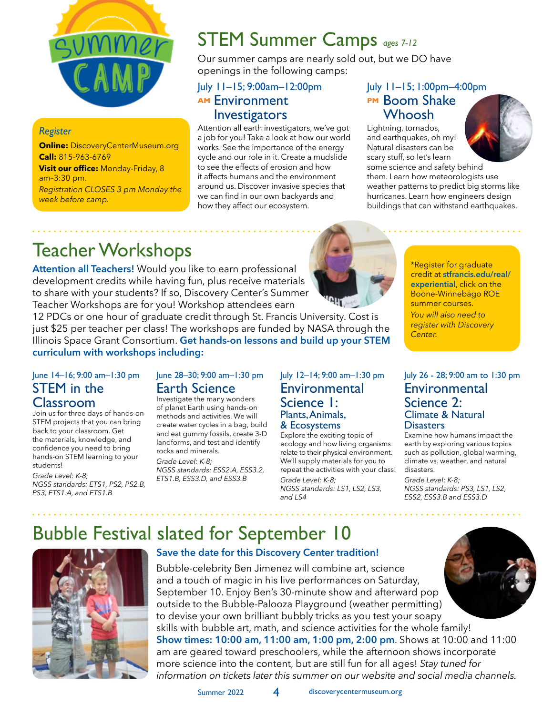

#### *Register*

**Online: DiscoveryCenterMuseum.org Call:** 815-963-6769 **Visit our office:** Monday-Friday, 8 am–3:30 pm. *Registration CLOSES 3 pm Monday the week before camp.* 

## STEM Summer Camps *ages 7-12*

Our summer camps are nearly sold out, but we DO have openings in the following camps:

#### July 11–15; 9:00am–12:00pm **AM** Environment Investigators

Attention all earth investigators, we've got a job for you! Take a look at how our world works. See the importance of the energy cycle and our role in it. Create a mudslide to see the effects of erosion and how it affects humans and the environment around us. Discover invasive species that we can find in our own backyards and how they affect our ecosystem.

#### July 11–15; 1:00pm–4:00pm **PM Boom Shake** Whoosh

Lightning, tornados, and earthquakes, oh my! Natural disasters can be scary stuff, so let's learn some science and safety behind



them. Learn how meteorologists use weather patterns to predict big storms like hurricanes. Learn how engineers design buildings that can withstand earthquakes.

## Teacher Workshops

**Attention all Teachers!** Would you like to earn professional development credits while having fun, plus receive materials to share with your students? If so, Discovery Center's Summer Teacher Workshops are for you! Workshop attendees earn

12 PDCs or one hour of graduate credit through St. Francis University. Cost is just \$25 per teacher per class! The workshops are funded by NASA through the Illinois Space Grant Consortium. **Get hands-on lessons and build up your STEM curriculum with workshops including:**

\*Register for graduate credit at **stfrancis.edu/real/ experiential**, click on the Boone-Winnebago ROE summer courses. *You will also need to register with Discovery Center.*

#### June 14–16; 9:00 am–1:30 pm STEM in the Classroom

Join us for three days of hands-on STEM projects that you can bring back to your classroom. Get the materials, knowledge, and confidence you need to bring hands-on STEM learning to your students!

*Grade Level: K-8; NGSS standards: ETS1, PS2, PS2.B, PS3, ETS1.A, and ETS1.B*

#### June 28–30; 9:00 am–1:30 pm Earth Science

Investigate the many wonders of planet Earth using hands-on methods and activities. We will create water cycles in a bag, build and eat gummy fossils, create 3-D landforms, and test and identify rocks and minerals. *Grade Level: K-8; NGSS standards: ESS2.A, ESS3.2, ETS1.B, ESS3.D, and ESS3.B*

#### July 12–14; 9:00 am–1:30 pm **Environmental** Science 1: Plants, Animals, & Ecosystems

Explore the exciting topic of ecology and how living organisms relate to their physical environment. We'll supply materials for you to repeat the activities with your class! *Grade Level: K-8; NGSS standards: LS1, LS2, LS3, and LS4*

July 26 - 28; 9:00 am to 1:30 pm Environmental Science 2: Climate & Natural **Disasters** Examine how humans impact the

earth by exploring various topics such as pollution, global warming, climate vs. weather, and natural disasters.

*Grade Level: K-8; NGSS standards: PS3, LS1, LS2, ESS2, ESS3.B and ESS3.D*

### Bubble Festival slated for September 10



#### **Save the date for this Discovery Center tradition!**

Bubble-celebrity Ben Jimenez will combine art, science and a touch of magic in his live performances on Saturday, September 10. Enjoy Ben's 30-minute show and afterward pop outside to the Bubble-Palooza Playground (weather permitting) to devise your own brilliant bubbly tricks as you test your soapy skills with bubble art, math, and science activities for the whole family! **Show times: 10:00 am, 11:00 am, 1:00 pm, 2:00 pm**. Shows at 10:00 and 11:00 am are geared toward preschoolers, while the afternoon shows incorporate more science into the content, but are still fun for all ages! *Stay tuned for information on tickets later this summer on our website and social media channels.*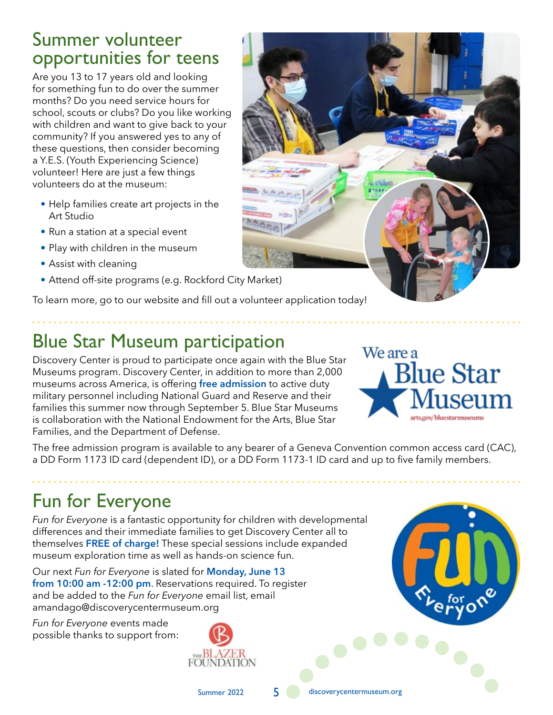### Summer volunteer opportunities for teens

Are you 13 to 17 years old and looking for something fun to do over the summer months? Do you need service hours for school, scouts or clubs? Do you like working with children and want to give back to your community? If you answered yes to any of these questions, then consider becoming a Y.E.S. (Youth Experiencing Science) volunteer! Here are just a few things volunteers do at the museum:

- **•** Help families create art projects in the Art Studio
- **•** Run a station at a special event
- **•** Play with children in the museum
- **•** Assist with cleaning
- **•** Attend off-site programs (e.g. Rockford City Market)

To learn more, go to our website and fill out a volunteer application today!

## Blue Star Museum participation

Discovery Center is proud to participate once again with the Blue Star Museums program. Discovery Center, in addition to more than 2,000 museums across America, is offering **free admission** to active duty military personnel including National Guard and Reserve and their families this summer now through September 5. Blue Star Museums is collaboration with the National Endowment for the Arts, Blue Star Families, and the Department of Defense.

The free admission program is available to any bearer of a Geneva Convention common access card (CAC), a DD Form 1173 ID card (dependent ID), or a DD Form 1173-1 ID card and up to five family members.

## Fun for Everyone

*Fun for Everyone* is a fantastic opportunity for children with developmental differences and their immediate families to get Discovery Center all to themselves **FREE of charge!** These special sessions include expanded museum exploration time as well as hands-on science fun.

Our next *Fun for Everyone* is slated for **Monday, June 13 from 10:00 am -12:00 pm**. Reservations required. To register and be added to the *Fun for Everyone* email list, email amandago@discoverycentermuseum.org

*Fun for Everyone* events made possible thanks to support from:







Summer 2022 5 discoverycentermuseum.org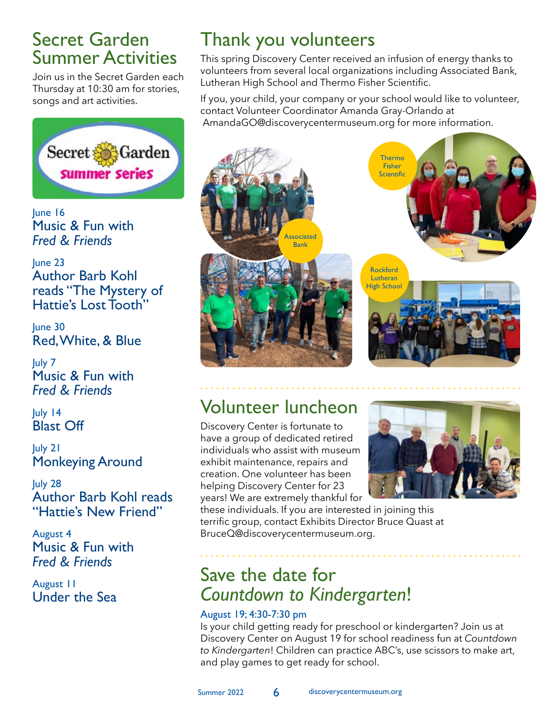### Secret Garden Summer Activities

Join us in the Secret Garden each Thursday at 10:30 am for stories, songs and art activities.



June 16 Music & Fun with *Fred & Friends*

June 23 Author Barb Kohl reads "The Mystery of Hattie's Lost Tooth"

June 30 Red, White, & Blue

July 7 Music & Fun with *Fred & Friends*

July 14 Blast Off

July 21 Monkeying Around

July 28 Author Barb Kohl reads "Hattie's New Friend"

August 4 Music & Fun with *Fred & Friends*

August 11 Under the Sea

## Thank you volunteers

This spring Discovery Center received an infusion of energy thanks to volunteers from several local organizations including Associated Bank, Lutheran High School and Thermo Fisher Scientific.

If you, your child, your company or your school would like to volunteer, contact Volunteer Coordinator Amanda Gray-Orlando at AmandaGO@discoverycentermuseum.org for more information.



### Volunteer luncheon

Discovery Center is fortunate to have a group of dedicated retired individuals who assist with museum exhibit maintenance, repairs and creation. One volunteer has been helping Discovery Center for 23 years! We are extremely thankful for



these individuals. If you are interested in joining this terrific group, contact Exhibits Director Bruce Quast at BruceQ@discoverycentermuseum.org.

### Save the date for *Countdown to Kindergarten*!

#### August 19; 4:30-7:30 pm

Is your child getting ready for preschool or kindergarten? Join us at Discovery Center on August 19 for school readiness fun at *Countdown to Kindergarten*! Children can practice ABC's, use scissors to make art, and play games to get ready for school.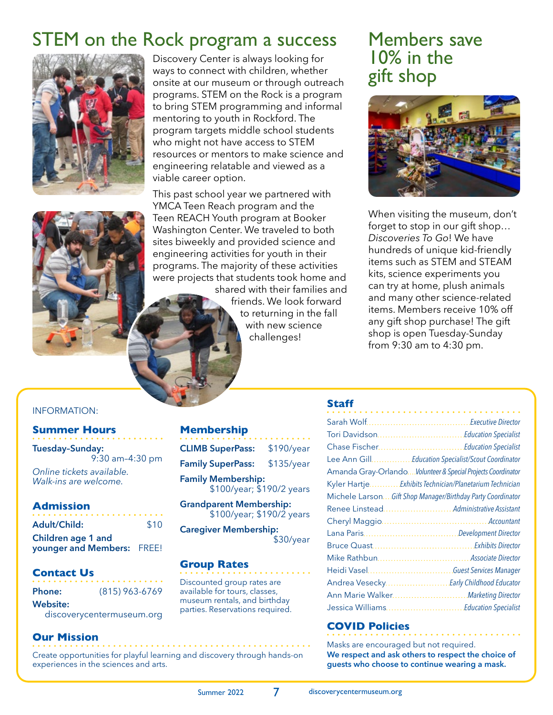### STEM on the Rock program a success



Discovery Center is always looking for ways to connect with children, whether onsite at our museum or through outreach programs. STEM on the Rock is a program to bring STEM programming and informal mentoring to youth in Rockford. The program targets middle school students who might not have access to STEM resources or mentors to make science and engineering relatable and viewed as a viable career option.

This past school year we partnered with YMCA Teen Reach program and the Teen REACH Youth program at Booker Washington Center. We traveled to both sites biweekly and provided science and engineering activities for youth in their programs. The majority of these activities were projects that students took home and

shared with their families and friends. We look forward to returning in the fall with new science challenges!

### Members save 10% in the gift shop



When visiting the museum, don't forget to stop in our gift shop… *Discoveries To Go*! We have hundreds of unique kid-friendly items such as STEM and STEAM kits, science experiments you can try at home, plush animals and many other science-related items. Members receive 10% off any gift shop purchase! The gift shop is open Tuesday-Sunday from 9:30 am to 4:30 pm.

#### INFORMATION:

#### **Summer Hours**

**Tuesday–Sunday:**  9:30 am–4:30 pm *Online tickets available. Walk-ins are welcome.* 

#### **Admission**

| <b>Adult/Child:</b>        | \$10 |
|----------------------------|------|
| Children age 1 and         |      |
| younger and Members: FREE! |      |

#### **Contact Us**

|  |  | <b>Phone:</b> |  |  |  | $(815)$ 963-6769 |  |  |  |  |  |  |
|--|--|---------------|--|--|--|------------------|--|--|--|--|--|--|
|  |  |               |  |  |  |                  |  |  |  |  |  |  |

#### **Website:**

discoverycentermuseum.org

#### **Our Mission**

Create opportunities for playful learning and discovery through hands-on experiences in the sciences and arts.

#### **Membership**

| <b>CLIMB SuperPass:</b>                                | \$190/year |  |  |  |  |
|--------------------------------------------------------|------------|--|--|--|--|
| <b>Family SuperPass:</b>                               | \$135/year |  |  |  |  |
| <b>Family Membership:</b><br>\$100/year; \$190/2 years |            |  |  |  |  |
| <b>Grandparent Membership:</b>                         |            |  |  |  |  |

\$100/year; \$190/2 years

**Caregiver Membership:**

\$30/year

#### **Group Rates**

Discounted group rates are available for tours, classes, museum rentals, and birthday parties. Reservations required.

#### **Staff**

|                  | <b>Executive Director</b>                                   |
|------------------|-------------------------------------------------------------|
|                  | Tori Davidson Education Specialist                          |
|                  |                                                             |
|                  | Lee Ann GillEducation Specialist/Scout Coordinator          |
|                  | Amanda Gray-OrlandoVolunteer & Special Projects Coordinator |
|                  | Kyler HartjeExhibits Technician/Planetarium Technician      |
|                  | Michele Larson Gift Shop Manager/Birthday Party Coordinator |
|                  | Renee Linstead Administrative Assistant                     |
|                  |                                                             |
|                  |                                                             |
|                  |                                                             |
|                  |                                                             |
|                  |                                                             |
|                  | Andrea Vesecky Early Childhood Educator                     |
| Ann Marie Walker | <b>Marketing Director</b>                                   |
|                  | Jessica Williams Education Specialist                       |

#### **COVID Policies**

Masks are encouraged but not required. **We respect and ask others to respect the choice of guests who choose to continue wearing a mask.**